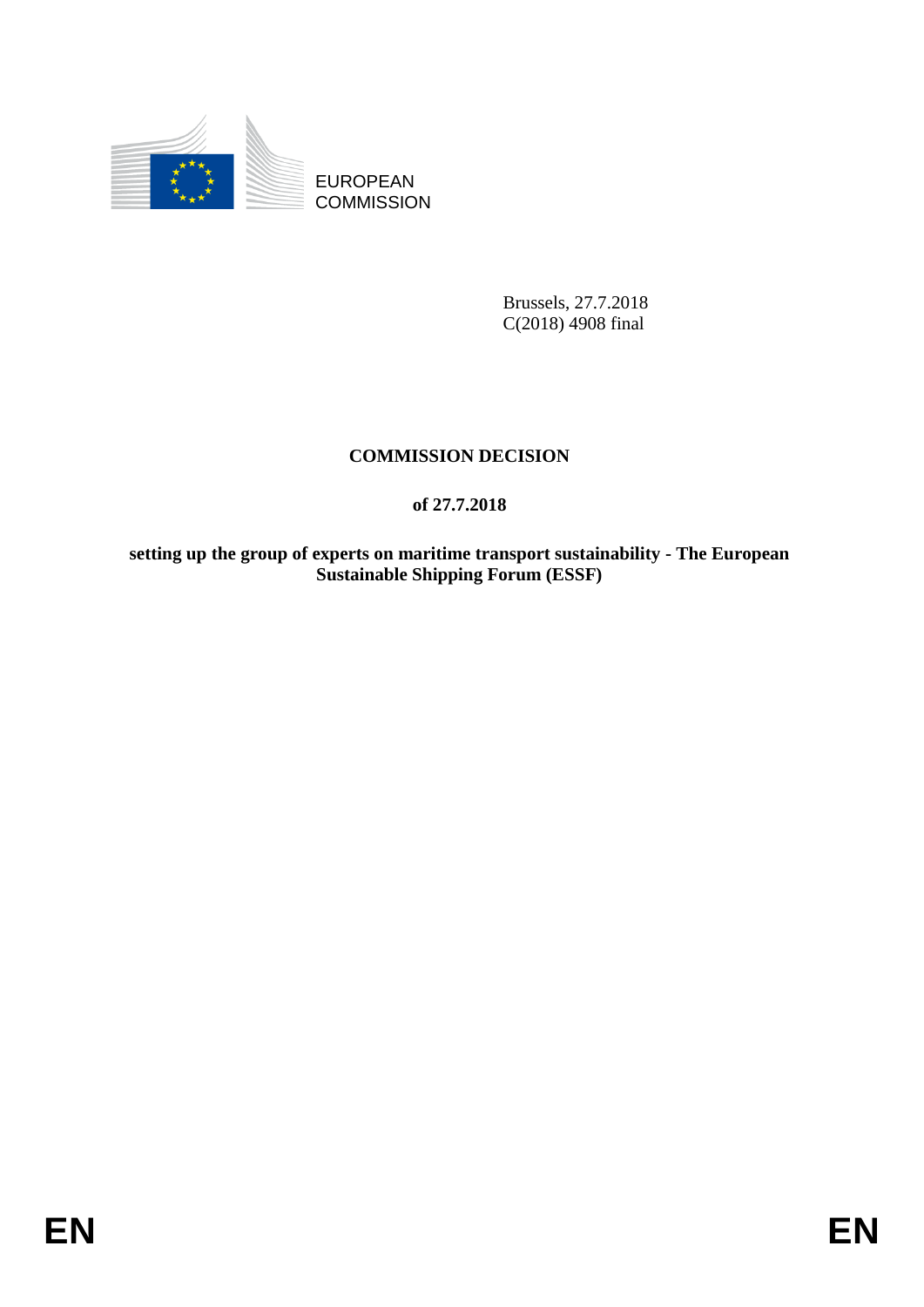

EUROPEAN **COMMISSION** 

> Brussels, 27.7.2018 C(2018) 4908 final

# **COMMISSION DECISION**

# **of 27.7.2018**

**setting up the group of experts on maritime transport sustainability - The European Sustainable Shipping Forum (ESSF)**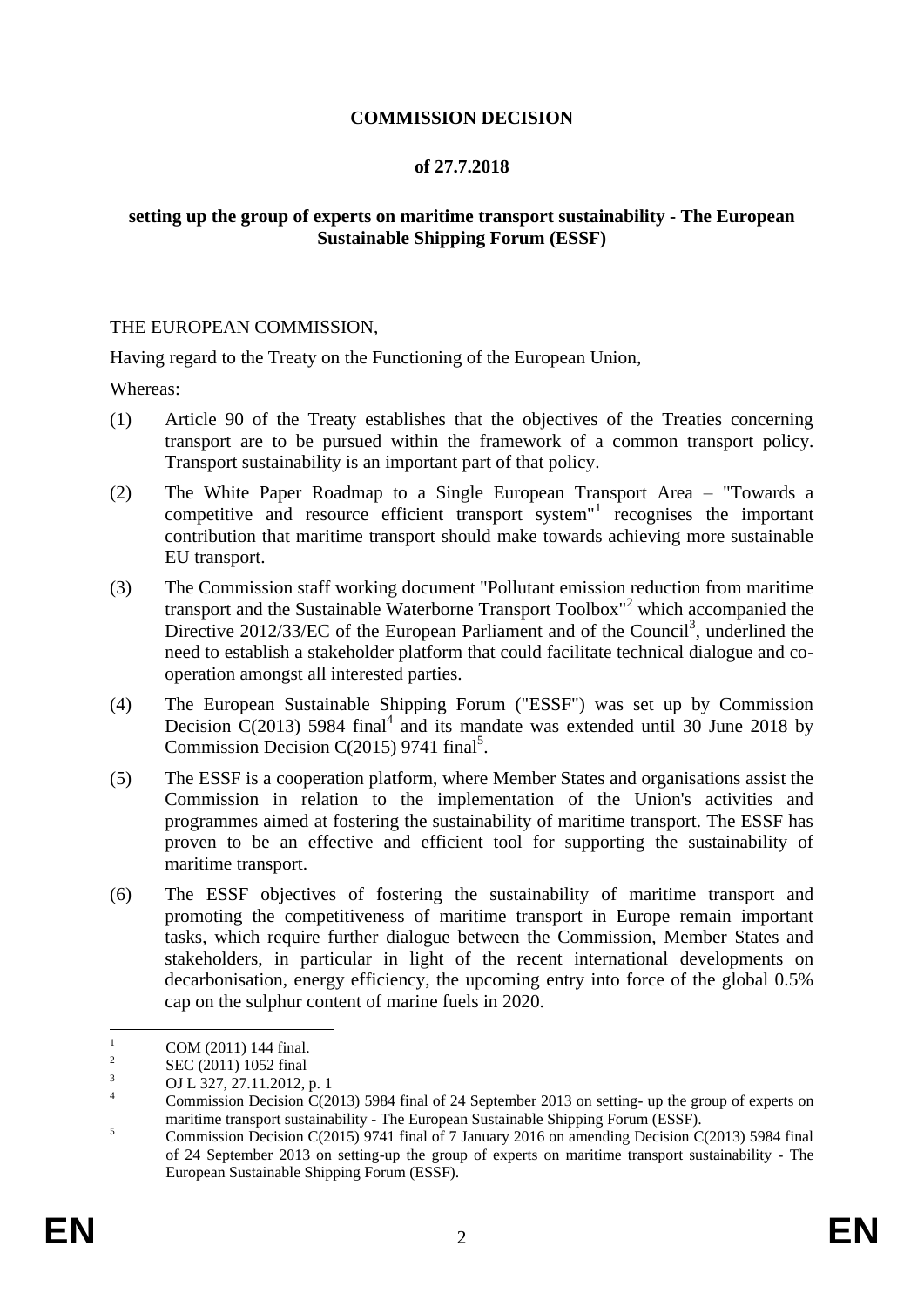## **COMMISSION DECISION**

### **of 27.7.2018**

## **setting up the group of experts on maritime transport sustainability - The European Sustainable Shipping Forum (ESSF)**

#### THE EUROPEAN COMMISSION,

Having regard to the Treaty on the Functioning of the European Union,

Whereas:

- (1) Article 90 of the Treaty establishes that the objectives of the Treaties concerning transport are to be pursued within the framework of a common transport policy. Transport sustainability is an important part of that policy.
- (2) The White Paper Roadmap to a Single European Transport Area "Towards a competitive and resource efficient transport system"<sup>1</sup> recognises the important contribution that maritime transport should make towards achieving more sustainable EU transport.
- (3) The Commission staff working document "Pollutant emission reduction from maritime transport and the Sustainable Waterborne Transport Toolbox"<sup>2</sup> which accompanied the Directive 2012/33/EC of the European Parliament and of the Council<sup>3</sup>, underlined the need to establish a stakeholder platform that could facilitate technical dialogue and cooperation amongst all interested parties.
- (4) The European Sustainable Shipping Forum ("ESSF") was set up by Commission Decision  $C(2013)$  5984 final<sup>4</sup> and its mandate was extended until 30 June 2018 by Commission Decision C(2015) 9741 final<sup>5</sup>.
- (5) The ESSF is a cooperation platform, where Member States and organisations assist the Commission in relation to the implementation of the Union's activities and programmes aimed at fostering the sustainability of maritime transport. The ESSF has proven to be an effective and efficient tool for supporting the sustainability of maritime transport.
- (6) The ESSF objectives of fostering the sustainability of maritime transport and promoting the competitiveness of maritime transport in Europe remain important tasks, which require further dialogue between the Commission, Member States and stakeholders, in particular in light of the recent international developments on decarbonisation, energy efficiency, the upcoming entry into force of the global 0.5% cap on the sulphur content of marine fuels in 2020.

 $\bar{1}$ COM (2011) 144 final.

<sup>2</sup> SEC (2011) 1052 final

 $\overline{O}$  OJ L 327, 27.11.2012, p. 1

Commission Decision C(2013) 5984 final of 24 September 2013 on setting- up the group of experts on maritime transport sustainability - The European Sustainable Shipping Forum (ESSF).

<sup>&</sup>lt;sup>5</sup><br><sup>5</sup> Commission Decision C(2015) 9741 final of 7 January 2016 on amending Decision C(2013) 5984 final of 24 September 2013 on setting-up the group of experts on maritime transport sustainability - The European Sustainable Shipping Forum (ESSF).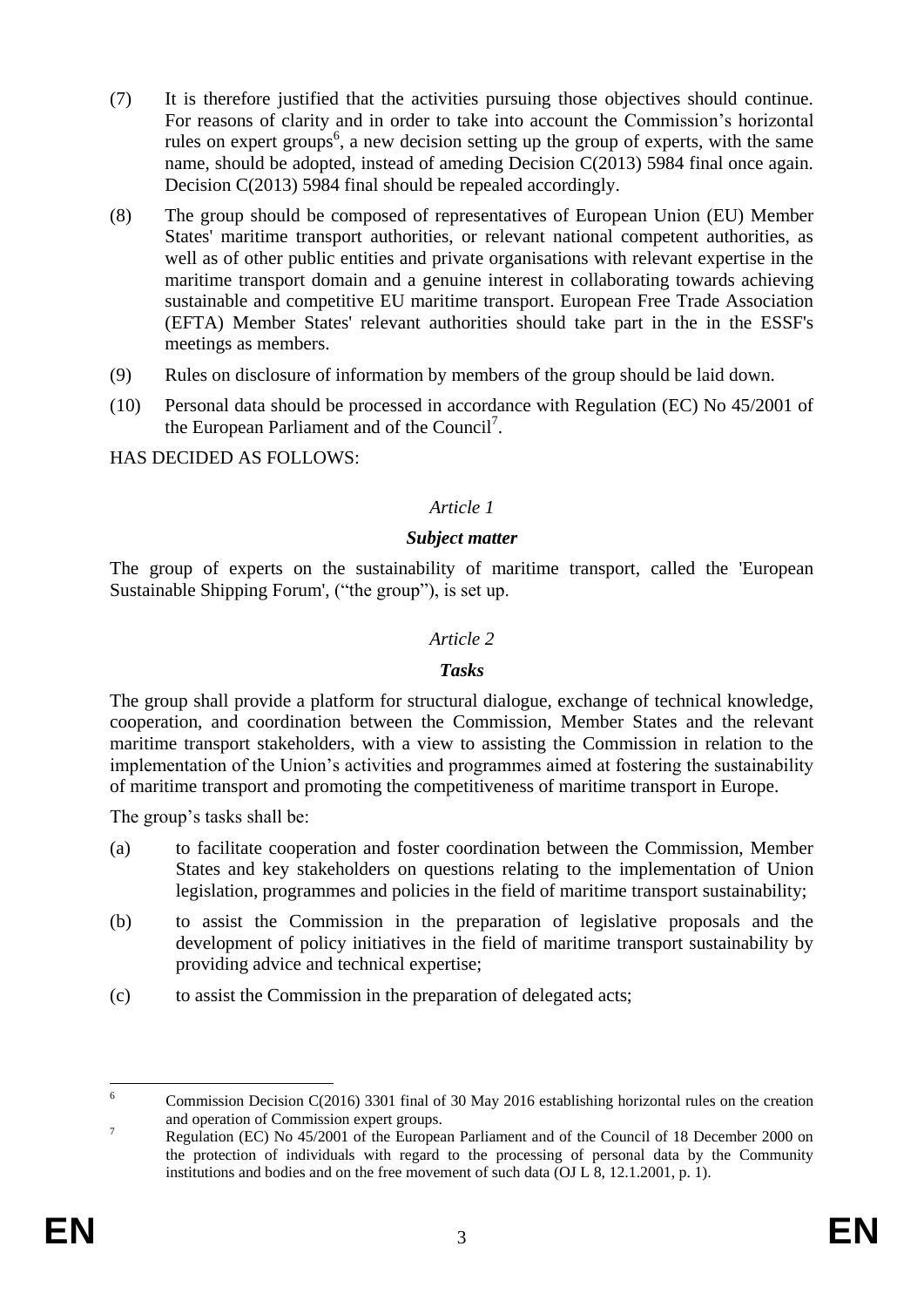- (7) It is therefore justified that the activities pursuing those objectives should continue. For reasons of clarity and in order to take into account the Commission's horizontal rules on expert groups<sup>6</sup>, a new decision setting up the group of experts, with the same name, should be adopted, instead of ameding Decision C(2013) 5984 final once again. Decision C(2013) 5984 final should be repealed accordingly.
- (8) The group should be composed of representatives of European Union (EU) Member States' maritime transport authorities, or relevant national competent authorities, as well as of other public entities and private organisations with relevant expertise in the maritime transport domain and a genuine interest in collaborating towards achieving sustainable and competitive EU maritime transport. European Free Trade Association (EFTA) Member States' relevant authorities should take part in the in the ESSF's meetings as members.
- (9) Rules on disclosure of information by members of the group should be laid down.
- (10) Personal data should be processed in accordance with Regulation (EC) No 45/2001 of the European Parliament and of the Council<sup>7</sup>.

HAS DECIDED AS FOLLOWS:

# *Article 1*

## *Subject matter*

The group of experts on the sustainability of maritime transport, called the 'European Sustainable Shipping Forum', ("the group"), is set up.

## *Article 2*

### *Tasks*

The group shall provide a platform for structural dialogue, exchange of technical knowledge, cooperation, and coordination between the Commission, Member States and the relevant maritime transport stakeholders, with a view to assisting the Commission in relation to the implementation of the Union's activities and programmes aimed at fostering the sustainability of maritime transport and promoting the competitiveness of maritime transport in Europe.

The group's tasks shall be:

- (a) to facilitate cooperation and foster coordination between the Commission, Member States and key stakeholders on questions relating to the implementation of Union legislation, programmes and policies in the field of maritime transport sustainability;
- (b) to assist the Commission in the preparation of legislative proposals and the development of policy initiatives in the field of maritime transport sustainability by providing advice and technical expertise;
- (c) to assist the Commission in the preparation of delegated acts;

<sup>6</sup> <sup>6</sup> Commission Decision C(2016) 3301 final of 30 May 2016 establishing horizontal rules on the creation and operation of Commission expert groups.

<sup>&</sup>lt;sup>7</sup><br>Regulation (EC) No 45/2001 of the European Parliament and of the Council of 18 December 2000 on the protection of individuals with regard to the processing of personal data by the Community institutions and bodies and on the free movement of such data (OJ L 8, 12.1.2001, p. 1).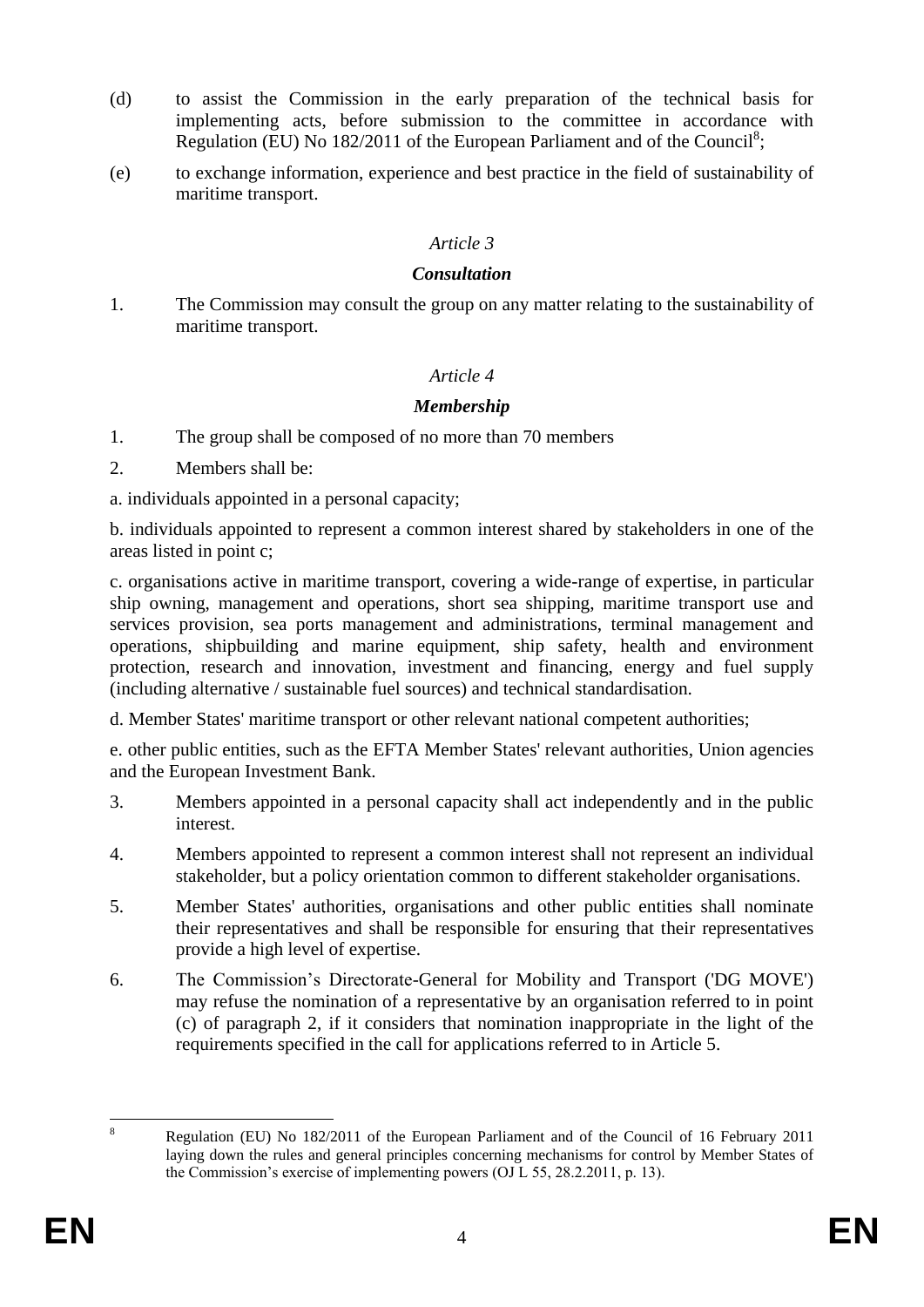- (d) to assist the Commission in the early preparation of the technical basis for implementing acts, before submission to the committee in accordance with Regulation (EU) No 182/2011 of the European Parliament and of the Council<sup>8</sup>;
- (e) to exchange information, experience and best practice in the field of sustainability of maritime transport.

## *Article 3*

### *Consultation*

1. The Commission may consult the group on any matter relating to the sustainability of maritime transport.

## *Article 4*

## *Membership*

- 1. The group shall be composed of no more than 70 members
- 2. Members shall be:

a. individuals appointed in a personal capacity;

b. individuals appointed to represent a common interest shared by stakeholders in one of the areas listed in point c;

c. organisations active in maritime transport, covering a wide-range of expertise, in particular ship owning, management and operations, short sea shipping, maritime transport use and services provision, sea ports management and administrations, terminal management and operations, shipbuilding and marine equipment, ship safety, health and environment protection, research and innovation, investment and financing, energy and fuel supply (including alternative / sustainable fuel sources) and technical standardisation.

d. Member States' maritime transport or other relevant national competent authorities;

e. other public entities, such as the EFTA Member States' relevant authorities, Union agencies and the European Investment Bank.

- 3. Members appointed in a personal capacity shall act independently and in the public interest.
- 4. Members appointed to represent a common interest shall not represent an individual stakeholder, but a policy orientation common to different stakeholder organisations.
- 5. Member States' authorities, organisations and other public entities shall nominate their representatives and shall be responsible for ensuring that their representatives provide a high level of expertise.
- 6. The Commission's Directorate-General for Mobility and Transport ('DG MOVE') may refuse the nomination of a representative by an organisation referred to in point (c) of paragraph 2, if it considers that nomination inappropriate in the light of the requirements specified in the call for applications referred to in Article 5.

 $\mathbf{Q}$ 

<sup>8</sup> Regulation (EU) No 182/2011 of the European Parliament and of the Council of 16 February 2011 laying down the rules and general principles concerning mechanisms for control by Member States of the Commission's exercise of implementing powers (OJ L 55, 28.2.2011, p. 13).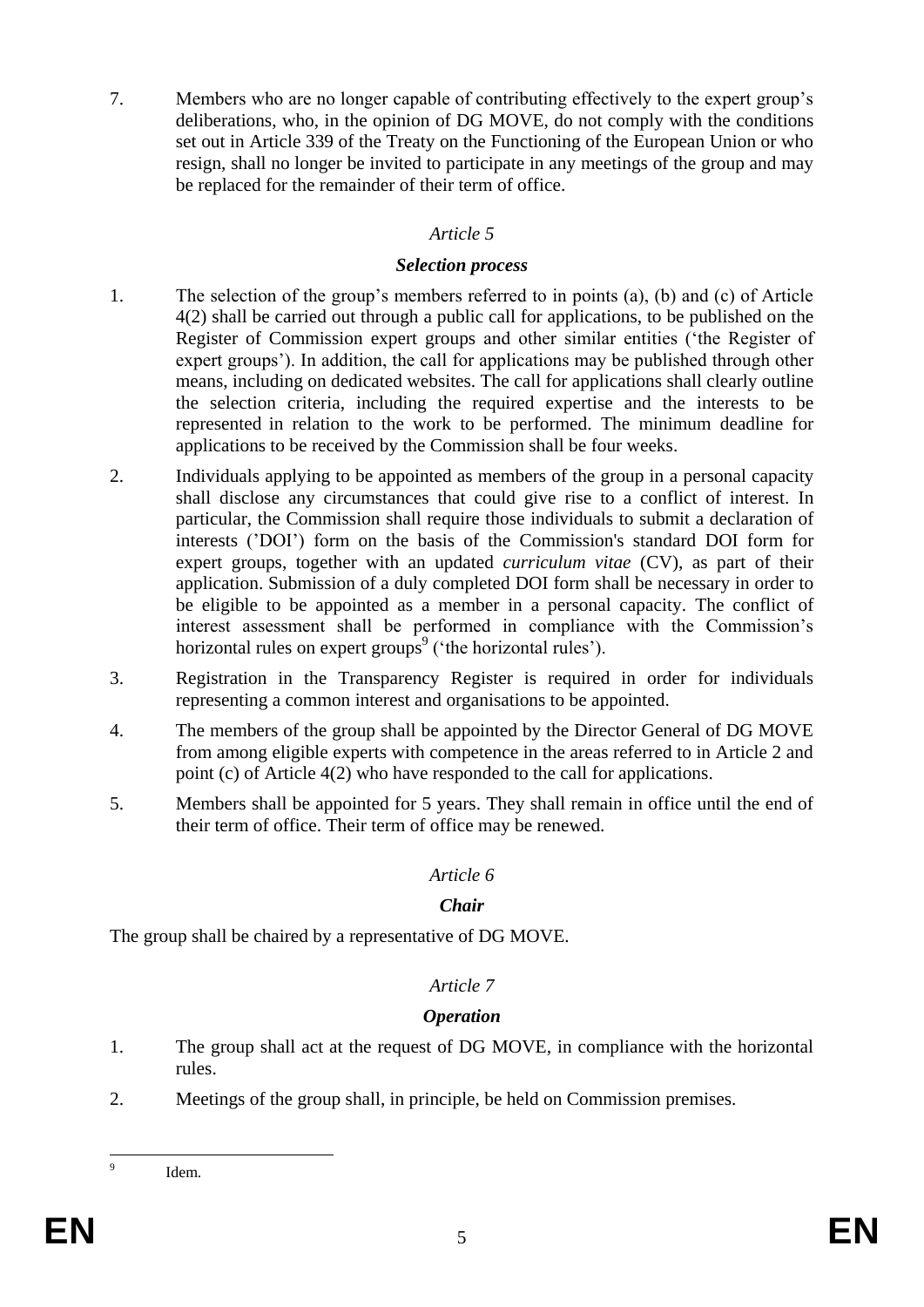7. Members who are no longer capable of contributing effectively to the expert group's deliberations, who, in the opinion of DG MOVE, do not comply with the conditions set out in Article 339 of the Treaty on the Functioning of the European Union or who resign, shall no longer be invited to participate in any meetings of the group and may be replaced for the remainder of their term of office.

# *Article 5*

## *Selection process*

- 1. The selection of the group's members referred to in points (a), (b) and (c) of Article 4(2) shall be carried out through a public call for applications, to be published on the Register of Commission expert groups and other similar entities ('the Register of expert groups'). In addition, the call for applications may be published through other means, including on dedicated websites. The call for applications shall clearly outline the selection criteria, including the required expertise and the interests to be represented in relation to the work to be performed. The minimum deadline for applications to be received by the Commission shall be four weeks.
- 2. Individuals applying to be appointed as members of the group in a personal capacity shall disclose any circumstances that could give rise to a conflict of interest. In particular, the Commission shall require those individuals to submit a declaration of interests ('DOI') form on the basis of the Commission's standard DOI form for expert groups, together with an updated *curriculum vitae* (CV), as part of their application. Submission of a duly completed DOI form shall be necessary in order to be eligible to be appointed as a member in a personal capacity. The conflict of interest assessment shall be performed in compliance with the Commission's horizontal rules on expert groups<sup>9</sup> ('the horizontal rules').
- 3. Registration in the Transparency Register is required in order for individuals representing a common interest and organisations to be appointed.
- 4. The members of the group shall be appointed by the Director General of DG MOVE from among eligible experts with competence in the areas referred to in Article 2 and point (c) of Article 4(2) who have responded to the call for applications.
- 5. Members shall be appointed for 5 years. They shall remain in office until the end of their term of office. Their term of office may be renewed.

### *Article 6*

## *Chair*

The group shall be chaired by a representative of DG MOVE.

## *Article 7*

## *Operation*

- 1. The group shall act at the request of DG MOVE, in compliance with the horizontal rules.
- 2. Meetings of the group shall, in principle, be held on Commission premises.

–<br>9

Idem.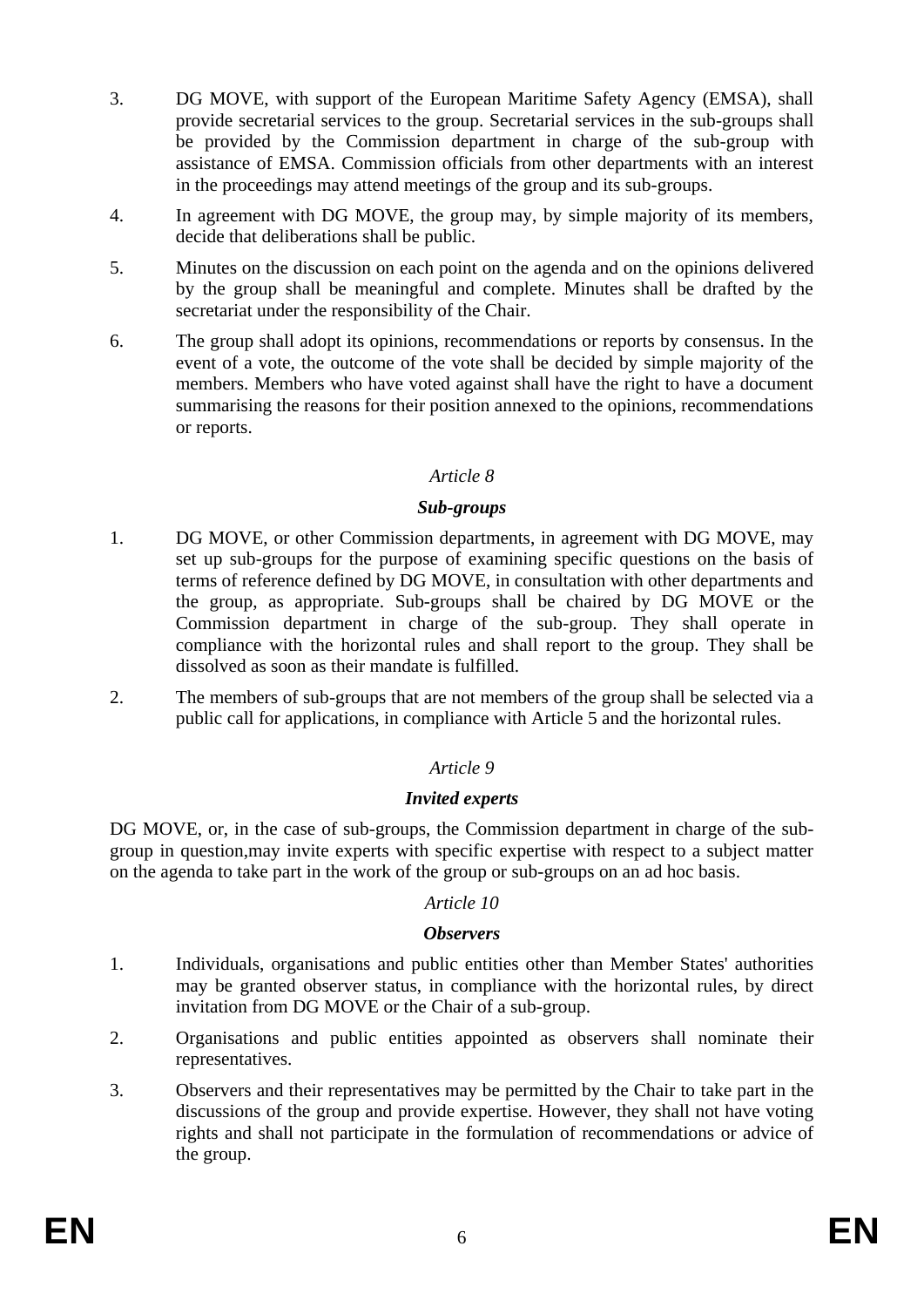- 3. DG MOVE, with support of the European Maritime Safety Agency (EMSA), shall provide secretarial services to the group. Secretarial services in the sub-groups shall be provided by the Commission department in charge of the sub-group with assistance of EMSA. Commission officials from other departments with an interest in the proceedings may attend meetings of the group and its sub-groups.
- 4. In agreement with DG MOVE, the group may, by simple majority of its members, decide that deliberations shall be public.
- 5. Minutes on the discussion on each point on the agenda and on the opinions delivered by the group shall be meaningful and complete. Minutes shall be drafted by the secretariat under the responsibility of the Chair.
- 6. The group shall adopt its opinions, recommendations or reports by consensus. In the event of a vote, the outcome of the vote shall be decided by simple majority of the members. Members who have voted against shall have the right to have a document summarising the reasons for their position annexed to the opinions, recommendations or reports.

## *Article 8*

### *Sub-groups*

- 1. DG MOVE, or other Commission departments, in agreement with DG MOVE, may set up sub-groups for the purpose of examining specific questions on the basis of terms of reference defined by DG MOVE, in consultation with other departments and the group, as appropriate. Sub-groups shall be chaired by DG MOVE or the Commission department in charge of the sub-group. They shall operate in compliance with the horizontal rules and shall report to the group. They shall be dissolved as soon as their mandate is fulfilled.
- 2. The members of sub-groups that are not members of the group shall be selected via a public call for applications, in compliance with Article 5 and the horizontal rules.

## *Article 9*

### *Invited experts*

DG MOVE, or, in the case of sub-groups, the Commission department in charge of the subgroup in question,may invite experts with specific expertise with respect to a subject matter on the agenda to take part in the work of the group or sub-groups on an ad hoc basis.

### *Article 10*

### *Observers*

- 1. Individuals, organisations and public entities other than Member States' authorities may be granted observer status, in compliance with the horizontal rules, by direct invitation from DG MOVE or the Chair of a sub-group.
- 2. Organisations and public entities appointed as observers shall nominate their representatives.
- 3. Observers and their representatives may be permitted by the Chair to take part in the discussions of the group and provide expertise. However, they shall not have voting rights and shall not participate in the formulation of recommendations or advice of the group.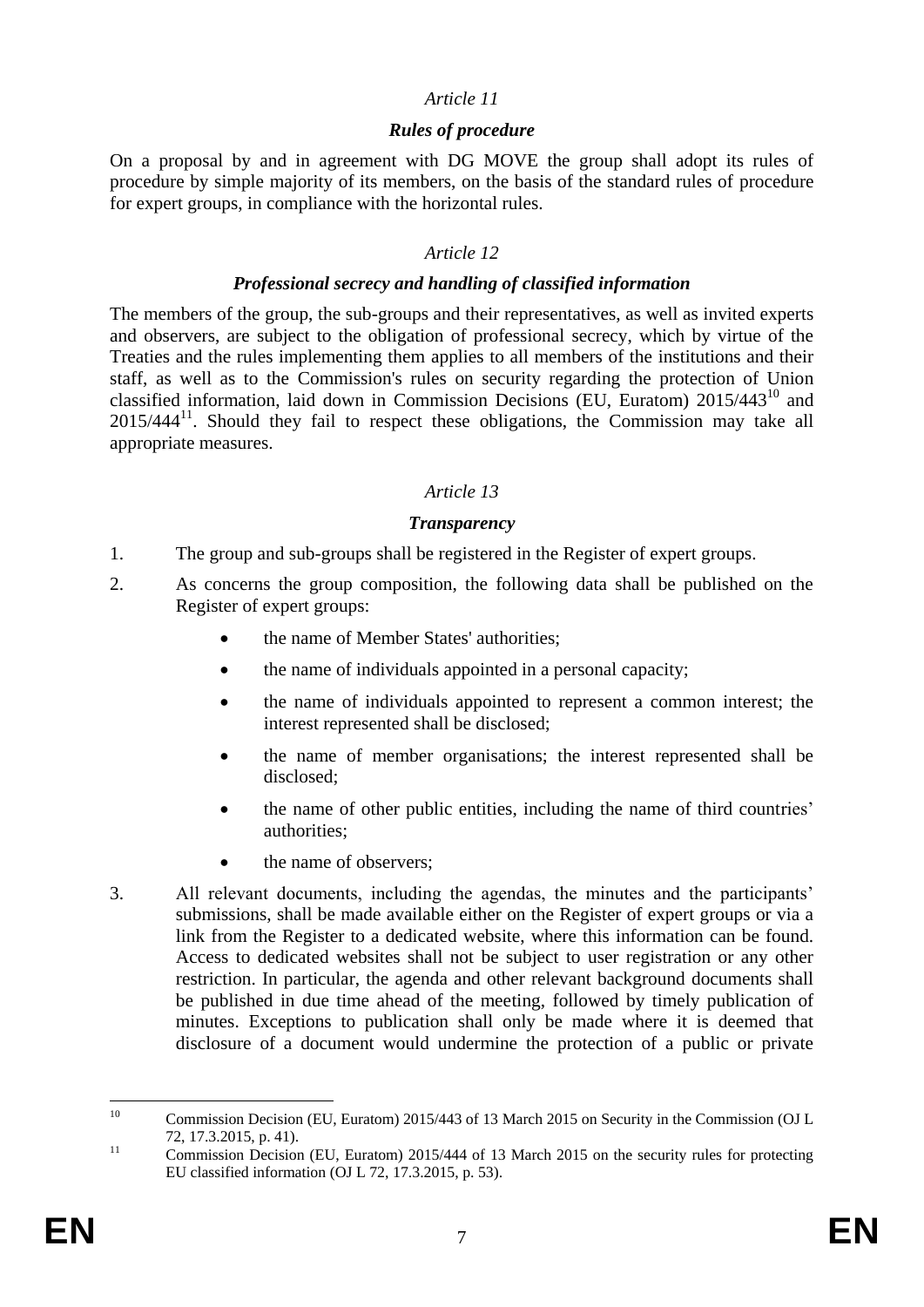## *Article 11*

### *Rules of procedure*

On a proposal by and in agreement with DG MOVE the group shall adopt its rules of procedure by simple majority of its members, on the basis of the standard rules of procedure for expert groups, in compliance with the horizontal rules.

### *Article 12*

### *Professional secrecy and handling of classified information*

The members of the group, the sub-groups and their representatives, as well as invited experts and observers, are subject to the obligation of professional secrecy, which by virtue of the Treaties and the rules implementing them applies to all members of the institutions and their staff, as well as to the Commission's rules on security regarding the protection of Union classified information, laid down in Commission Decisions (EU, Euratom)  $2015/443^{10}$  and  $2015/444$ <sup>11</sup>. Should they fail to respect these obligations, the Commission may take all appropriate measures.

## *Article 13*

## *Transparency*

- 1. The group and sub-groups shall be registered in the Register of expert groups.
- 2. As concerns the group composition, the following data shall be published on the Register of expert groups:
	- the name of Member States' authorities;
	- the name of individuals appointed in a personal capacity;
	- the name of individuals appointed to represent a common interest; the interest represented shall be disclosed;
	- the name of member organisations; the interest represented shall be disclosed;
	- the name of other public entities, including the name of third countries' authorities;
	- the name of observers;
- 3. All relevant documents, including the agendas, the minutes and the participants' submissions, shall be made available either on the Register of expert groups or via a link from the Register to a dedicated website, where this information can be found. Access to dedicated websites shall not be subject to user registration or any other restriction. In particular, the agenda and other relevant background documents shall be published in due time ahead of the meeting, followed by timely publication of minutes. Exceptions to publication shall only be made where it is deemed that disclosure of a document would undermine the protection of a public or private

 $10<sup>10</sup>$ <sup>10</sup> Commission Decision (EU, Euratom) 2015/443 of 13 March 2015 on Security in the Commission (OJ L 72, 17.3.2015, p. 41).

<sup>&</sup>lt;sup>11</sup> Commission Decision (EU, Euratom) 2015/444 of 13 March 2015 on the security rules for protecting EU classified information (OJ L 72, 17.3.2015, p. 53).